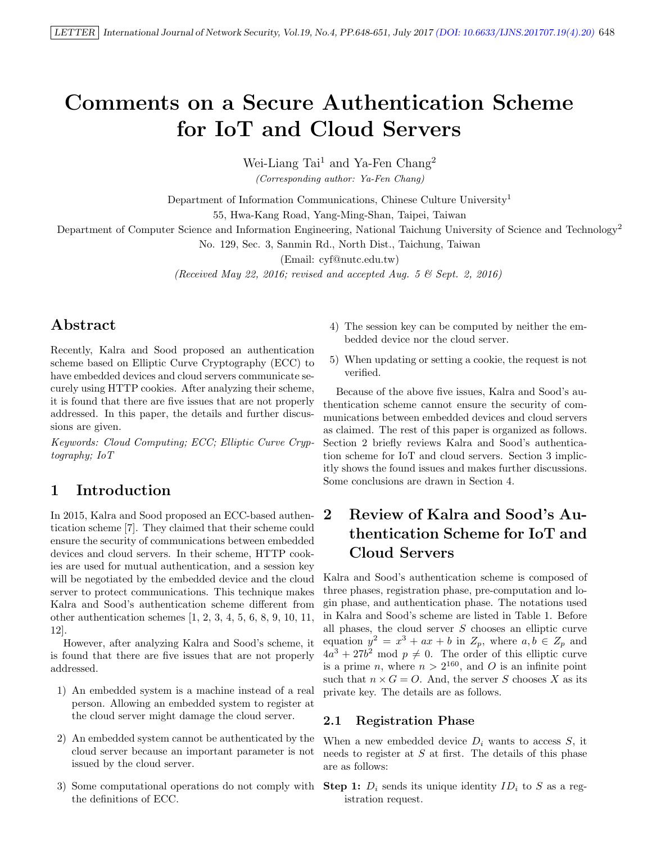# Comments on a Secure Authentication Scheme for IoT and Cloud Servers

Wei-Liang Tai<sup>1</sup> and Ya-Fen Chang<sup>2</sup>

(Corresponding author: Ya-Fen Chang)

Department of Information Communications, Chinese Culture University<sup>1</sup>

55, Hwa-Kang Road, Yang-Ming-Shan, Taipei, Taiwan

Department of Computer Science and Information Engineering, National Taichung University of Science and Technology<sup>2</sup>

No. 129, Sec. 3, Sanmin Rd., North Dist., Taichung, Taiwan

(Email: cyf@nutc.edu.tw)

(Received May 22, 2016; revised and accepted Aug. 5  $\mathcal C$  Sept. 2, 2016)

# Abstract

Recently, Kalra and Sood proposed an authentication scheme based on Elliptic Curve Cryptography (ECC) to have embedded devices and cloud servers communicate securely using HTTP cookies. After analyzing their scheme, it is found that there are five issues that are not properly addressed. In this paper, the details and further discussions are given.

Keywords: Cloud Computing; ECC; Elliptic Curve Cryptography; IoT

## 1 Introduction

In 2015, Kalra and Sood proposed an ECC-based authentication scheme [7]. They claimed that their scheme could ensure the security of communications between embedded devices and cloud servers. In their scheme, HTTP cookies are used for mutual authentication, and a session key will be negotiated by the embedded device and the cloud server to protect communications. This technique makes Kalra and Sood's authentication scheme different from other authentication schemes [1, 2, 3, 4, 5, 6, 8, 9, 10, 11, 12].

However, after analyzing Kalra and Sood's scheme, it is found that there are five issues that are not properly addressed.

- 1) An embedded system is a machine instead of a real person. Allowing an embedded system to register at the cloud server might damage the cloud server.
- 2) An embedded system cannot be authenticated by the cloud server because an important parameter is not issued by the cloud server.
- the definitions of ECC.
- 4) The session key can be computed by neither the embedded device nor the cloud server.
- 5) When updating or setting a cookie, the request is not verified.

Because of the above five issues, Kalra and Sood's authentication scheme cannot ensure the security of communications between embedded devices and cloud servers as claimed. The rest of this paper is organized as follows. Section 2 briefly reviews Kalra and Sood's authentication scheme for IoT and cloud servers. Section 3 implicitly shows the found issues and makes further discussions. Some conclusions are drawn in Section 4.

# 2 Review of Kalra and Sood's Authentication Scheme for IoT and Cloud Servers

Kalra and Sood's authentication scheme is composed of three phases, registration phase, pre-computation and login phase, and authentication phase. The notations used in Kalra and Sood's scheme are listed in Table 1. Before all phases, the cloud server  $S$  chooses an elliptic curve equation  $y^2 = x^3 + ax + b$  in  $Z_p$ , where  $a, b \in Z_p$  and  $4a^3 + 27b^2$  mod  $p \neq 0$ . The order of this elliptic curve is a prime *n*, where  $n > 2^{160}$ , and *O* is an infinite point such that  $n \times G = O$ . And, the server S chooses X as its private key. The details are as follows.

#### 2.1 Registration Phase

When a new embedded device  $D_i$  wants to access  $S$ , it needs to register at  $S$  at first. The details of this phase are as follows:

3) Some computational operations do not comply with Step 1:  $D_i$  sends its unique identity  $ID_i$  to S as a registration request.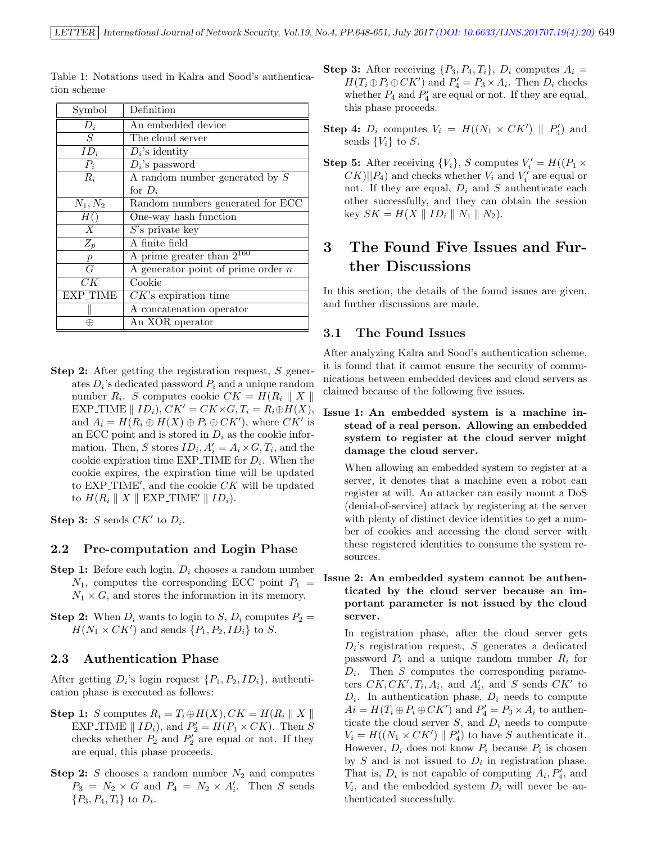| Symbol               | Definition                           |
|----------------------|--------------------------------------|
| $D_i$                | An embedded device                   |
| $\overline{S}$       | The cloud server                     |
| $ID_i$               | $D_i$ 's identity                    |
| $P_i$                | $D_i$ 's password                    |
| $R_i$                | A random number generated by $S$     |
|                      | for $D_i$                            |
| $N_1, N_2$           | Random numbers generated for ECC     |
| H(                   | One-way hash function                |
| X                    | $S$ 's private key                   |
| $Z_p$                | A finite field                       |
| $\boldsymbol{p}$     | A prime greater than $2^{160}$       |
| $\overline{G}$       | A generator point of prime order $n$ |
| CK                   | Cookie                               |
| EXP <sub>-TIME</sub> | $CK$ 's expiration time              |
|                      | A concatenation operator             |
| ⊕                    | An XOR operator                      |

Table 1: Notations used in Kalra and Sood's authentication scheme

Step 2: After getting the registration request, S generates  $D_i$ 's dedicated password  $P_i$  and a unique random number  $R_i$ . S computes cookie  $CK = H(R_i || X ||$ EXP\_TIME  $\parallel ID_i$ ,  $CK' = CK \times G$ ,  $T_i = R_i \oplus H(X)$ , and  $A_i = H(R_i \oplus H(X) \oplus P_i \oplus CK')$ , where  $CK'$  is an ECC point and is stored in  $D_i$  as the cookie information. Then, S stores  $ID_i$ ,  $A'_i = A_i \times G$ ,  $T_i$ , and the cookie expiration time  $EXP$ -TIME for  $D_i$ . When the cookie expires, the expiration time will be updated to  $EXP\_TIME'$ , and the cookie  $CK$  will be updated to  $H(R_i \parallel X \parallel$  EXP\_TIME'  $\parallel ID_i$ ).

Step 3: S sends  $CK'$  to  $D_i$ .

#### 2.2 Pre-computation and Login Phase

- **Step 1:** Before each login,  $D_i$  chooses a random number  $N_1$ , computes the corresponding ECC point  $P_1$  =  $N_1 \times G$ , and stores the information in its memory.
- **Step 2:** When  $D_i$  wants to login to  $S$ ,  $D_i$  computes  $P_2 =$  $H(N_1 \times CK')$  and sends  $\{P_1, P_2, ID_i\}$  to S.

#### 2.3 Authentication Phase

After getting  $D_i$ 's login request  $\{P_1, P_2, ID_i\}$ , authentication phase is executed as follows:

- Step 1: S computes  $R_i = T_i \oplus H(X)$ ,  $CK = H(R_i || X ||$ EXP\_TIME  $||$   $ID_i$ , and  $P'_2 = H(P_1 \times CK)$ . Then S checks whether  $P_2$  and  $P'_2$  are equal or not. If they are equal, this phase proceeds.
- **Step 2:** S chooses a random number  $N_2$  and computes  $P_3 = N_2 \times G$  and  $P_4 = N_2 \times A'_i$ . Then S sends  $\{P_3, P_4, T_i\}$  to  $D_i$ .
- **Step 3:** After receiving  $\{P_3, P_4, T_i\}$ ,  $D_i$  computes  $A_i =$  $H(T_i \oplus P_i \oplus CK')$  and  $P'_4 = P_3 \times A_i$ . Then  $D_i$  checks whether  $P_4$  and  $P'_4$  are equal or not. If they are equal, this phase proceeds.
- **Step 4:**  $D_i$  computes  $V_i = H((N_1 \times CK') \parallel P'_4)$  and sends  $\{V_i\}$  to S.
- **Step 5:** After receiving  $\{V_i\}$ , S computes  $V'_i = H((P_1 \times$  $(X||P_4)$  and checks whether  $V_i$  and  $V'_i$  are equal or not. If they are equal,  $D_i$  and S authenticate each other successfully, and they can obtain the session key  $SK = H(X || ID_i || N_1 || N_2)$ .

# 3 The Found Five Issues and Further Discussions

In this section, the details of the found issues are given, and further discussions are made.

#### 3.1 The Found Issues

After analyzing Kalra and Sood's authentication scheme, it is found that it cannot ensure the security of communications between embedded devices and cloud servers as claimed because of the following five issues.

#### Issue 1: An embedded system is a machine instead of a real person. Allowing an embedded system to register at the cloud server might damage the cloud server.

When allowing an embedded system to register at a server, it denotes that a machine even a robot can register at will. An attacker can easily mount a DoS (denial-of-service) attack by registering at the server with plenty of distinct device identities to get a number of cookies and accessing the cloud server with these registered identities to consume the system resources.

#### Issue 2: An embedded system cannot be authenticated by the cloud server because an important parameter is not issued by the cloud server.

In registration phase, after the cloud server gets  $D_i$ 's registration request, S generates a dedicated password  $P_i$  and a unique random number  $R_i$  for  $D_i$ . Then S computes the corresponding parameters  $CK, CK', T_i, A_i$ , and  $A'_i$ , and S sends  $CK'$  to  $D_i$ . In authentication phase,  $D_i$  needs to compute  $Ai = H(T_i \oplus P_i \oplus CK')$  and  $P'_4 = P_3 \times A_i$  to authenticate the cloud server  $S$ , and  $D_i$  needs to compute  $V_i = H((N_1 \times CK') \parallel P'_4)$  to have S authenticate it. However,  $D_i$  does not know  $P_i$  because  $P_i$  is chosen by  $S$  and is not issued to  $D_i$  in registration phase. That is,  $D_i$  is not capable of computing  $A_i, P'_4$ , and  $V_i$ , and the embedded system  $D_i$  will never be authenticated successfully.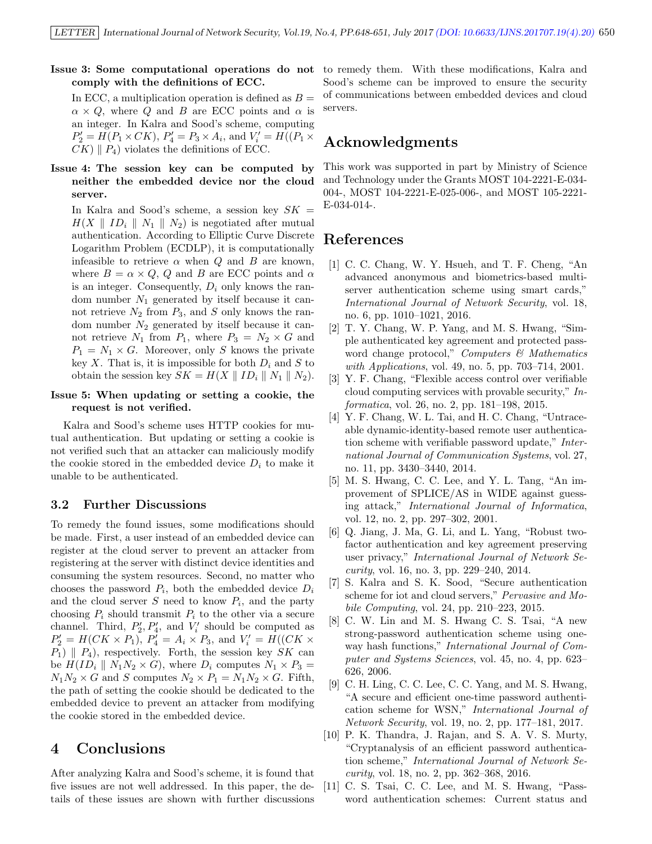#### Issue 3: Some computational operations do not comply with the definitions of ECC.

In ECC, a multiplication operation is defined as  $B =$  $\alpha \times Q$ , where Q and B are ECC points and  $\alpha$  is an integer. In Kalra and Sood's scheme, computing  $P_2' = H(P_1 \times CK)$ ,  $P_4' = P_3 \times A_i$ , and  $V_i' = H((P_1 \times$  $CK$ )  $\parallel$   $P_4$ ) violates the definitions of ECC.

#### Issue 4: The session key can be computed by neither the embedded device nor the cloud server.

In Kalra and Sood's scheme, a session key  $SK =$  $H(X \parallel ID_i \parallel N_1 \parallel N_2)$  is negotiated after mutual authentication. According to Elliptic Curve Discrete Logarithm Problem (ECDLP), it is computationally infeasible to retrieve  $\alpha$  when  $Q$  and  $B$  are known, where  $B = \alpha \times Q$ , Q and B are ECC points and  $\alpha$ is an integer. Consequently,  $D_i$  only knows the random number  $N_1$  generated by itself because it cannot retrieve  $N_2$  from  $P_3$ , and S only knows the random number  $N_2$  generated by itself because it cannot retrieve  $N_1$  from  $P_1$ , where  $P_3 = N_2 \times G$  and  $P_1 = N_1 \times G$ . Moreover, only S knows the private key  $X$ . That is, it is impossible for both  $D_i$  and  $S$  to obtain the session key  $SK = H(X \parallel ID_i \parallel N_1 \parallel N_2)$ .

#### Issue 5: When updating or setting a cookie, the request is not verified.

Kalra and Sood's scheme uses HTTP cookies for mutual authentication. But updating or setting a cookie is not verified such that an attacker can maliciously modify the cookie stored in the embedded device  $D_i$  to make it unable to be authenticated.

#### 3.2 Further Discussions

To remedy the found issues, some modifications should be made. First, a user instead of an embedded device can register at the cloud server to prevent an attacker from registering at the server with distinct device identities and consuming the system resources. Second, no matter who chooses the password  $P_i$ , both the embedded device  $D_i$ and the cloud server  $S$  need to know  $P_i$ , and the party choosing  $P_i$  should transmit  $P_i$  to the other via a secure channel. Third,  $P'_2, P'_4$ , and  $V'_i$  should be computed as  $P'_2 = H(CK \times P_1), P'_4 = A_i \times P_3$ , and  $V'_i = H((CK \times P_1), P'_4 = A_i \times P_3)$  $P_1$ )  $\parallel$   $P_4$ ), respectively. Forth, the session key  $SK$  can be  $H(ID_i \parallel N_1N_2 \times G)$ , where  $D_i$  computes  $N_1 \times P_3 =$  $N_1N_2 \times G$  and S computes  $N_2 \times P_1 = N_1N_2 \times G$ . Fifth, the path of setting the cookie should be dedicated to the embedded device to prevent an attacker from modifying the cookie stored in the embedded device.

### 4 Conclusions

After analyzing Kalra and Sood's scheme, it is found that five issues are not well addressed. In this paper, the details of these issues are shown with further discussions

to remedy them. With these modifications, Kalra and Sood's scheme can be improved to ensure the security of communications between embedded devices and cloud servers.

### Acknowledgments

This work was supported in part by Ministry of Science and Technology under the Grants MOST 104-2221-E-034- 004-, MOST 104-2221-E-025-006-, and MOST 105-2221- E-034-014-.

### References

- [1] C. C. Chang, W. Y. Hsueh, and T. F. Cheng, "An advanced anonymous and biometrics-based multiserver authentication scheme using smart cards," International Journal of Network Security, vol. 18, no. 6, pp. 1010–1021, 2016.
- [2] T. Y. Chang, W. P. Yang, and M. S. Hwang, "Simple authenticated key agreement and protected password change protocol," Computers  $\mathcal{C}$  Mathematics with Applications, vol. 49, no. 5, pp. 703–714, 2001.
- [3] Y. F. Chang, "Flexible access control over verifiable cloud computing services with provable security," Informatica, vol. 26, no. 2, pp. 181–198, 2015.
- [4] Y. F. Chang, W. L. Tai, and H. C. Chang, "Untraceable dynamic-identity-based remote user authentication scheme with verifiable password update," International Journal of Communication Systems, vol. 27, no. 11, pp. 3430–3440, 2014.
- [5] M. S. Hwang, C. C. Lee, and Y. L. Tang, "An improvement of SPLICE/AS in WIDE against guessing attack," International Journal of Informatica, vol. 12, no. 2, pp. 297–302, 2001.
- [6] Q. Jiang, J. Ma, G. Li, and L. Yang, "Robust twofactor authentication and key agreement preserving user privacy," International Journal of Network Security, vol. 16, no. 3, pp. 229–240, 2014.
- [7] S. Kalra and S. K. Sood, "Secure authentication scheme for iot and cloud servers," Pervasive and Mobile Computing, vol. 24, pp. 210–223, 2015.
- [8] C. W. Lin and M. S. Hwang C. S. Tsai, "A new strong-password authentication scheme using oneway hash functions," International Journal of Computer and Systems Sciences, vol. 45, no. 4, pp. 623– 626, 2006.
- [9] C. H. Ling, C. C. Lee, C. C. Yang, and M. S. Hwang, "A secure and efficient one-time password authentication scheme for WSN," International Journal of Network Security, vol. 19, no. 2, pp. 177–181, 2017.
- [10] P. K. Thandra, J. Rajan, and S. A. V. S. Murty, "Cryptanalysis of an efficient password authentication scheme," International Journal of Network Security, vol. 18, no. 2, pp. 362–368, 2016.
- [11] C. S. Tsai, C. C. Lee, and M. S. Hwang, "Password authentication schemes: Current status and